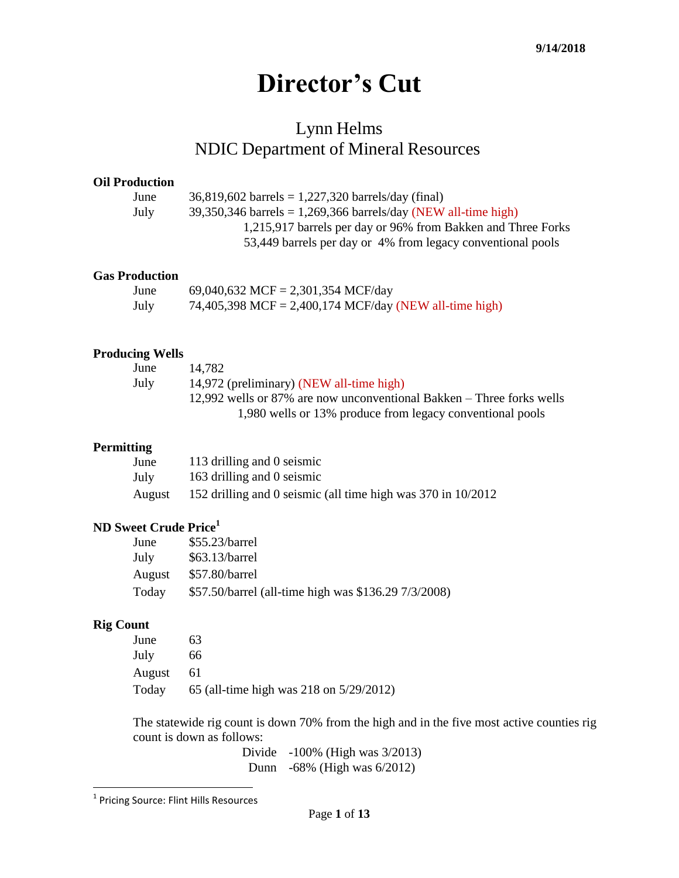# **Director's Cut**

# Lynn Helms NDIC Department of Mineral Resources

#### **Oil Production**

| June | $36,819,602$ barrels = 1,227,320 barrels/day (final)             |
|------|------------------------------------------------------------------|
| July | $39,350,346$ barrels = 1,269,366 barrels/day (NEW all-time high) |
|      | 1,215,917 barrels per day or 96% from Bakken and Three Forks     |
|      | 53,449 barrels per day or 4% from legacy conventional pools      |
|      |                                                                  |

#### **Gas Production**

| June | 69,040,632 MCF = 2,301,354 MCF/day                     |
|------|--------------------------------------------------------|
| July | 74,405,398 MCF = 2,400,174 MCF/day (NEW all-time high) |

#### **Producing Wells**

| June | 14.782                                                                |
|------|-----------------------------------------------------------------------|
| July | 14,972 (preliminary) (NEW all-time high)                              |
|      | 12,992 wells or 87% are now unconventional Bakken – Three forks wells |
|      | 1,980 wells or 13% produce from legacy conventional pools             |

#### **Permitting**

| June   | 113 drilling and 0 seismic                                    |
|--------|---------------------------------------------------------------|
| July   | 163 drilling and 0 seismic                                    |
| August | 152 drilling and 0 seismic (all time high was 370 in 10/2012) |

## **ND Sweet Crude Price<sup>1</sup>**

| June   | $$55.23/b$ arrel                                     |
|--------|------------------------------------------------------|
| July   | $$63.13/b$ arrel                                     |
| August | $$57.80/b$ arrel                                     |
| Today  | \$57.50/barrel (all-time high was \$136.29 7/3/2008) |

## **Rig Count**

| June   | 63                                      |
|--------|-----------------------------------------|
| July   | 66                                      |
| August | 61                                      |
| Today  | 65 (all-time high was 218 on 5/29/2012) |

The statewide rig count is down 70% from the high and in the five most active counties rig count is down as follows:

> Divide -100% (High was 3/2013) Dunn -68% (High was 6/2012)

 1 Pricing Source: Flint Hills Resources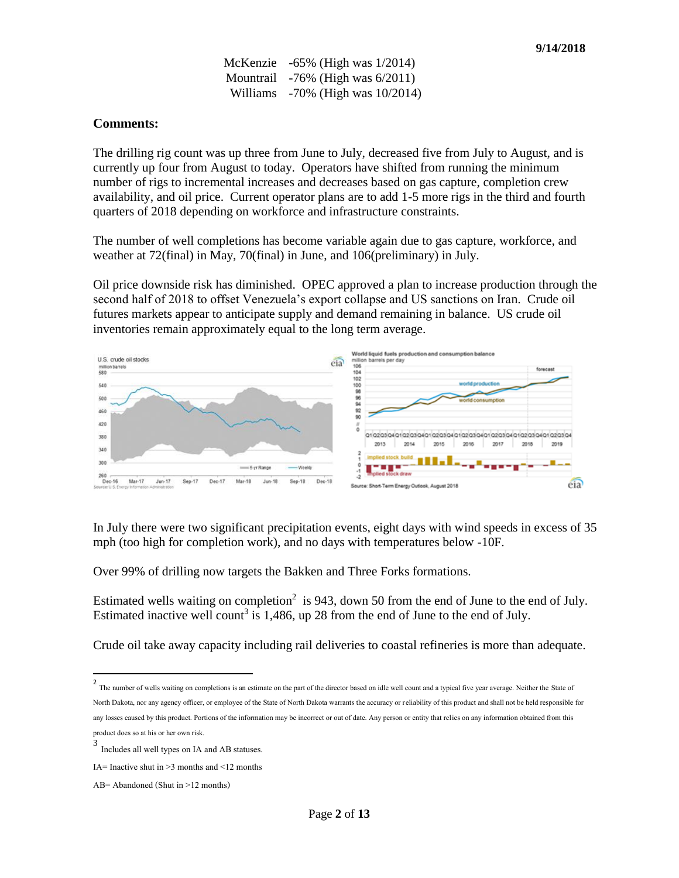McKenzie -65% (High was 1/2014) Mountrail -76% (High was 6/2011) Williams -70% (High was 10/2014)

#### **Comments:**

The drilling rig count was up three from June to July, decreased five from July to August, and is currently up four from August to today. Operators have shifted from running the minimum number of rigs to incremental increases and decreases based on gas capture, completion crew availability, and oil price. Current operator plans are to add 1-5 more rigs in the third and fourth quarters of 2018 depending on workforce and infrastructure constraints.

The number of well completions has become variable again due to gas capture, workforce, and weather at 72(final) in May, 70(final) in June, and 106(preliminary) in July.

Oil price downside risk has diminished. OPEC approved a plan to increase production through the second half of 2018 to offset Venezuela's export collapse and US sanctions on Iran. Crude oil futures markets appear to anticipate supply and demand remaining in balance. US crude oil inventories remain approximately equal to the long term average.



In July there were two significant precipitation events, eight days with wind speeds in excess of 35 mph (too high for completion work), and no days with temperatures below -10F.

Over 99% of drilling now targets the Bakken and Three Forks formations.

Estimated wells waiting on completion<sup>2</sup> is 943, down 50 from the end of June to the end of July. Estimated inactive well count<sup>3</sup> is 1,486, up 28 from the end of June to the end of July.

Crude oil take away capacity including rail deliveries to coastal refineries is more than adequate.

<sup>&</sup>lt;sup>2</sup><br>The number of wells waiting on completions is an estimate on the part of the director based on idle well count and a typical five year average. Neither the State of North Dakota, nor any agency officer, or employee of the State of North Dakota warrants the accuracy or reliability of this product and shall not be held responsible for any losses caused by this product. Portions of the information may be incorrect or out of date. Any person or entity that relies on any information obtained from this product does so at his or her own risk.

<sup>3</sup> Includes all well types on IA and AB statuses.

IA= Inactive shut in  $>3$  months and  $\leq 12$  months

AB= Abandoned (Shut in >12 months)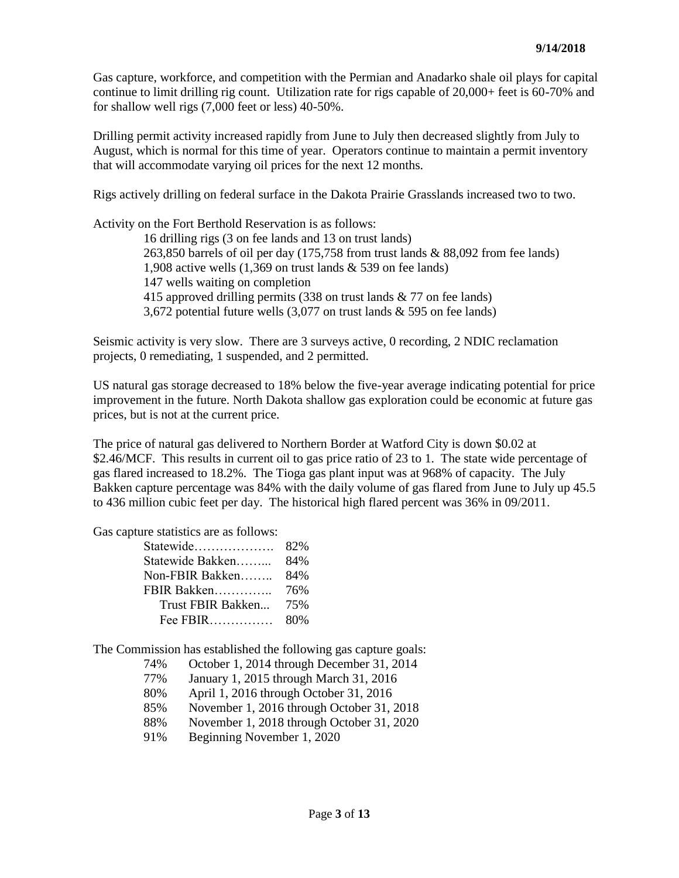Gas capture, workforce, and competition with the Permian and Anadarko shale oil plays for capital continue to limit drilling rig count. Utilization rate for rigs capable of 20,000+ feet is 60-70% and for shallow well rigs (7,000 feet or less) 40-50%.

Drilling permit activity increased rapidly from June to July then decreased slightly from July to August, which is normal for this time of year. Operators continue to maintain a permit inventory that will accommodate varying oil prices for the next 12 months.

Rigs actively drilling on federal surface in the Dakota Prairie Grasslands increased two to two.

Activity on the Fort Berthold Reservation is as follows:

16 drilling rigs (3 on fee lands and 13 on trust lands) 263,850 barrels of oil per day (175,758 from trust lands & 88,092 from fee lands) 1,908 active wells (1,369 on trust lands & 539 on fee lands) 147 wells waiting on completion 415 approved drilling permits (338 on trust lands & 77 on fee lands) 3,672 potential future wells (3,077 on trust lands & 595 on fee lands)

Seismic activity is very slow. There are 3 surveys active, 0 recording, 2 NDIC reclamation projects, 0 remediating, 1 suspended, and 2 permitted.

US natural gas storage decreased to 18% below the five-year average indicating potential for price improvement in the future. North Dakota shallow gas exploration could be economic at future gas prices, but is not at the current price.

The price of natural gas delivered to Northern Border at Watford City is down \$0.02 at \$2.46/MCF. This results in current oil to gas price ratio of 23 to 1. The state wide percentage of gas flared increased to 18.2%. The Tioga gas plant input was at 968% of capacity. The July Bakken capture percentage was 84% with the daily volume of gas flared from June to July up 45.5 to 436 million cubic feet per day. The historical high flared percent was 36% in 09/2011.

Gas capture statistics are as follows:

| Statewide         | 82% |
|-------------------|-----|
| Statewide Bakken  | 84% |
| Non-FBIR Bakken   | 84% |
| FBIR Bakken       | 76% |
| Trust FBIR Bakken | 75% |
| Fee $FBIR$        | 80% |

The Commission has established the following gas capture goals:

- 74% October 1, 2014 through December 31, 2014
- 77% January 1, 2015 through March 31, 2016
- 80% April 1, 2016 through October 31, 2016
- 85% November 1, 2016 through October 31, 2018
- 88% November 1, 2018 through October 31, 2020
- 91% Beginning November 1, 2020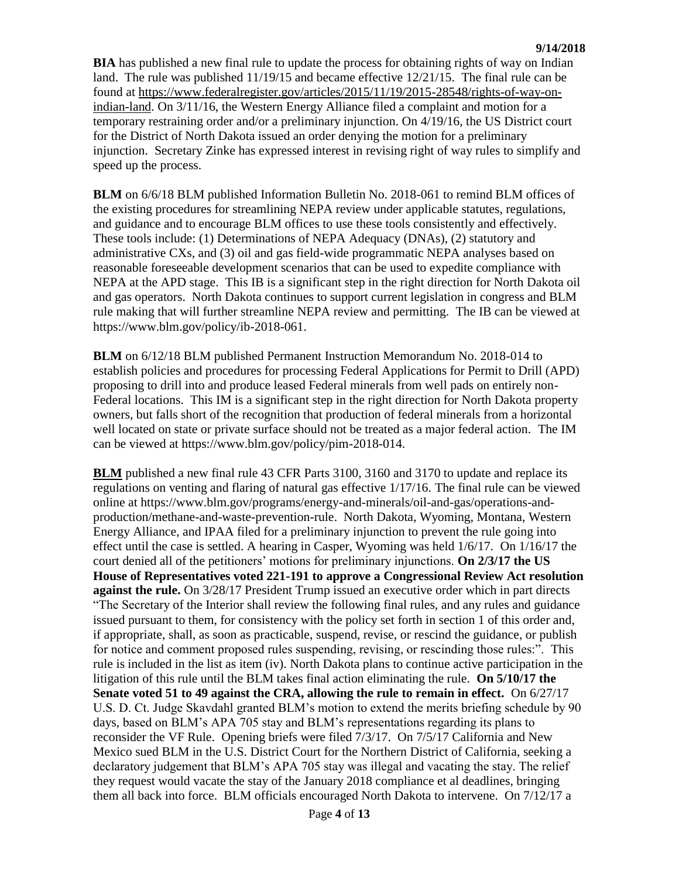**BIA** has published a new final rule to update the process for obtaining rights of way on Indian land. The rule was published 11/19/15 and became effective 12/21/15. The final rule can be found at [https://www.federalregister.gov/articles/2015/11/19/2015-28548/rights-of-way-on](https://www.federalregister.gov/articles/2015/11/19/2015-28548/rights-of-way-on-indian-land)[indian-land.](https://www.federalregister.gov/articles/2015/11/19/2015-28548/rights-of-way-on-indian-land) On 3/11/16, the Western Energy Alliance filed a complaint and motion for a temporary restraining order and/or a preliminary injunction. On 4/19/16, the US District court for the District of North Dakota issued an order denying the motion for a preliminary injunction. Secretary Zinke has expressed interest in revising right of way rules to simplify and speed up the process.

**BLM** on 6/6/18 BLM published Information Bulletin No. 2018-061 to remind BLM offices of the existing procedures for streamlining NEPA review under applicable statutes, regulations, and guidance and to encourage BLM offices to use these tools consistently and effectively. These tools include: (1) Determinations of NEPA Adequacy (DNAs), (2) statutory and administrative CXs, and (3) oil and gas field-wide programmatic NEPA analyses based on reasonable foreseeable development scenarios that can be used to expedite compliance with NEPA at the APD stage. This IB is a significant step in the right direction for North Dakota oil and gas operators. North Dakota continues to support current legislation in congress and BLM rule making that will further streamline NEPA review and permitting. The IB can be viewed at [https://www.blm.gov/policy/ib-2018-061.](https://www.blm.gov/policy/ib-2018-061)

**BLM** on 6/12/18 BLM published Permanent Instruction Memorandum No. 2018-014 to establish policies and procedures for processing Federal Applications for Permit to Drill (APD) proposing to drill into and produce leased Federal minerals from well pads on entirely non-Federal locations. This IM is a significant step in the right direction for North Dakota property owners, but falls short of the recognition that production of federal minerals from a horizontal well located on state or private surface should not be treated as a major federal action. The IM can be viewed at [https://www.blm.gov/policy/pim-2018-014.](https://www.blm.gov/policy/pim-2018-014)

**BLM** published a new final rule 43 CFR Parts 3100, 3160 and 3170 to update and replace its regulations on venting and flaring of natural gas effective 1/17/16. The final rule can be viewed online at [https://www.blm.gov/programs/energy-and-minerals/oil-and-gas/operations-and](https://www.blm.gov/programs/energy-and-minerals/oil-and-gas/operations-and-production/methane-and-waste-prevention-rule)[production/methane-and-waste-prevention-rule.](https://www.blm.gov/programs/energy-and-minerals/oil-and-gas/operations-and-production/methane-and-waste-prevention-rule) North Dakota, Wyoming, Montana, Western Energy Alliance, and IPAA filed for a preliminary injunction to prevent the rule going into effect until the case is settled. A hearing in Casper, Wyoming was held 1/6/17. On 1/16/17 the court denied all of the petitioners' motions for preliminary injunctions. **On 2/3/17 the US House of Representatives voted 221-191 to approve a Congressional Review Act resolution against the rule.** On 3/28/17 President Trump issued an executive order which in part directs "The Secretary of the Interior shall review the following final rules, and any rules and guidance issued pursuant to them, for consistency with the policy set forth in section 1 of this order and, if appropriate, shall, as soon as practicable, suspend, revise, or rescind the guidance, or publish for notice and comment proposed rules suspending, revising, or rescinding those rules:". This rule is included in the list as item (iv). North Dakota plans to continue active participation in the litigation of this rule until the BLM takes final action eliminating the rule. **On 5/10/17 the Senate voted 51 to 49 against the CRA, allowing the rule to remain in effect.** On 6/27/17 U.S. D. Ct. Judge Skavdahl granted BLM's motion to extend the merits briefing schedule by 90 days, based on BLM's APA 705 stay and BLM's representations regarding its plans to reconsider the VF Rule. Opening briefs were filed 7/3/17. On 7/5/17 California and New Mexico sued BLM in the U.S. District Court for the Northern District of California, seeking a declaratory judgement that BLM's APA 705 stay was illegal and vacating the stay. The relief they request would vacate the stay of the January 2018 compliance et al deadlines, bringing them all back into force. BLM officials encouraged North Dakota to intervene. On 7/12/17 a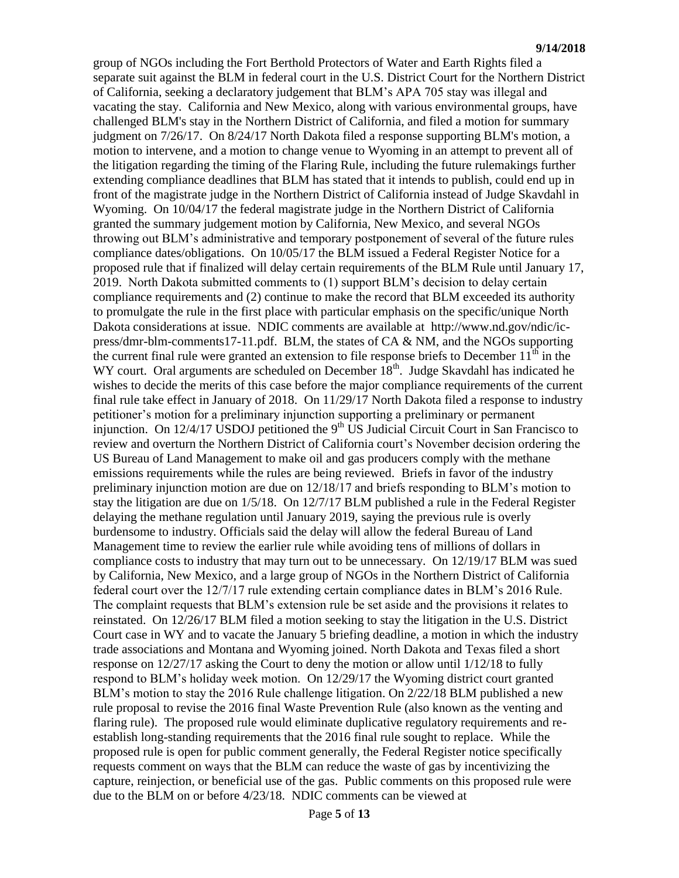group of NGOs including the Fort Berthold Protectors of Water and Earth Rights filed a separate suit against the BLM in federal court in the U.S. District Court for the Northern District of California, seeking a declaratory judgement that BLM's APA 705 stay was illegal and vacating the stay. California and New Mexico, along with various environmental groups, have challenged BLM's stay in the Northern District of California, and filed a motion for summary judgment on 7/26/17. On 8/24/17 North Dakota filed a response supporting BLM's motion, a motion to intervene, and a motion to change venue to Wyoming in an attempt to prevent all of the litigation regarding the timing of the Flaring Rule, including the future rulemakings further extending compliance deadlines that BLM has stated that it intends to publish, could end up in front of the magistrate judge in the Northern District of California instead of Judge Skavdahl in Wyoming. On 10/04/17 the federal magistrate judge in the Northern District of California granted the summary judgement motion by California, New Mexico, and several NGOs throwing out BLM's administrative and temporary postponement of several of the future rules compliance dates/obligations. On 10/05/17 the BLM issued a Federal Register Notice for a proposed rule that if finalized will delay certain requirements of the BLM Rule until January 17, 2019. North Dakota submitted comments to (1) support BLM's decision to delay certain compliance requirements and (2) continue to make the record that BLM exceeded its authority to promulgate the rule in the first place with particular emphasis on the specific/unique North Dakota considerations at issue. NDIC comments are available at [http://www.nd.gov/ndic/ic](http://www.nd.gov/ndic/ic-press/dmr-blm-comments17-11.pdf)[press/dmr-blm-comments17-11.pdf.](http://www.nd.gov/ndic/ic-press/dmr-blm-comments17-11.pdf) BLM, the states of CA & NM, and the NGOs supporting the current final rule were granted an extension to file response briefs to December  $11<sup>th</sup>$  in the WY court. Oral arguments are scheduled on December  $18<sup>th</sup>$ . Judge Skavdahl has indicated he wishes to decide the merits of this case before the major compliance requirements of the current final rule take effect in January of 2018. On 11/29/17 North Dakota filed a response to industry petitioner's motion for a preliminary injunction supporting a preliminary or permanent injunction. On  $12/4/17$  USDOJ petitioned the 9<sup>th</sup> US Judicial Circuit Court in San Francisco to review and overturn the Northern District of California court's November decision ordering the US Bureau of Land Management to make oil and gas producers comply with the methane emissions requirements while the rules are being reviewed. Briefs in favor of the industry preliminary injunction motion are due on 12/18/17 and briefs responding to BLM's motion to stay the litigation are due on 1/5/18. On 12/7/17 BLM published a rule in the Federal Register delaying the methane regulation until January 2019, saying the previous rule is overly burdensome to industry. Officials said the delay will allow the federal Bureau of Land Management time to review the earlier rule while avoiding tens of millions of dollars in compliance costs to industry that may turn out to be unnecessary. On 12/19/17 BLM was sued by California, New Mexico, and a large group of NGOs in the Northern District of California federal court over the 12/7/17 rule extending certain compliance dates in BLM's 2016 Rule. The complaint requests that BLM's extension rule be set aside and the provisions it relates to reinstated. On 12/26/17 BLM filed a motion seeking to stay the litigation in the U.S. District Court case in WY and to vacate the January 5 briefing deadline, a motion in which the industry trade associations and Montana and Wyoming joined. North Dakota and Texas filed a short response on 12/27/17 asking the Court to deny the motion or allow until 1/12/18 to fully respond to BLM's holiday week motion. On 12/29/17 the Wyoming district court granted BLM's motion to stay the 2016 Rule challenge litigation. On 2/22/18 BLM published a new rule proposal to revise the 2016 final Waste Prevention Rule (also known as the venting and flaring rule). The proposed rule would eliminate duplicative regulatory requirements and reestablish long-standing requirements that the 2016 final rule sought to replace. While the proposed rule is open for public comment generally, the Federal Register notice specifically requests comment on ways that the BLM can reduce the waste of gas by incentivizing the capture, reinjection, or beneficial use of the gas. Public comments on this proposed rule were due to the BLM on or before 4/23/18. NDIC comments can be viewed at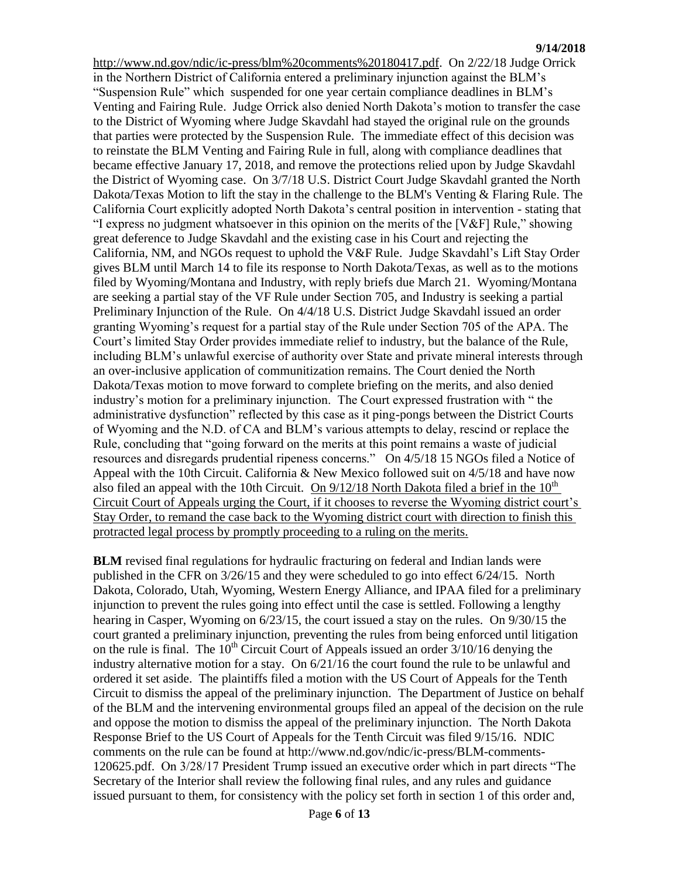[http://www.nd.gov/ndic/ic-press/blm%20comments%20180417.pdf.](http://www.nd.gov/ndic/ic-press/blm%20comments%20180417.pdf) On 2/22/18 Judge Orrick in the Northern District of California entered a preliminary injunction against the BLM's "Suspension Rule" which suspended for one year certain compliance deadlines in BLM's Venting and Fairing Rule. Judge Orrick also denied North Dakota's motion to transfer the case to the District of Wyoming where Judge Skavdahl had stayed the original rule on the grounds that parties were protected by the Suspension Rule. The immediate effect of this decision was to reinstate the BLM Venting and Fairing Rule in full, along with compliance deadlines that became effective January 17, 2018, and remove the protections relied upon by Judge Skavdahl the District of Wyoming case. On 3/7/18 U.S. District Court Judge Skavdahl granted the North Dakota/Texas Motion to lift the stay in the challenge to the BLM's Venting & Flaring Rule. The California Court explicitly adopted North Dakota's central position in intervention - stating that "I express no judgment whatsoever in this opinion on the merits of the [V&F] Rule," showing great deference to Judge Skavdahl and the existing case in his Court and rejecting the California, NM, and NGOs request to uphold the V&F Rule. Judge Skavdahl's Lift Stay Order gives BLM until March 14 to file its response to North Dakota/Texas, as well as to the motions filed by Wyoming/Montana and Industry, with reply briefs due March 21. Wyoming/Montana are seeking a partial stay of the VF Rule under Section 705, and Industry is seeking a partial Preliminary Injunction of the Rule. On 4/4/18 U.S. District Judge Skavdahl issued an order granting Wyoming's request for a partial stay of the Rule under Section 705 of the APA. The Court's limited Stay Order provides immediate relief to industry, but the balance of the Rule, including BLM's unlawful exercise of authority over State and private mineral interests through an over-inclusive application of communitization remains. The Court denied the North Dakota/Texas motion to move forward to complete briefing on the merits, and also denied industry's motion for a preliminary injunction. The Court expressed frustration with " the administrative dysfunction" reflected by this case as it ping-pongs between the District Courts of Wyoming and the N.D. of CA and BLM's various attempts to delay, rescind or replace the Rule, concluding that "going forward on the merits at this point remains a waste of judicial resources and disregards prudential ripeness concerns." On 4/5/18 15 NGOs filed a Notice of Appeal with the 10th Circuit. California & New Mexico followed suit on 4/5/18 and have now also filed an appeal with the 10th Circuit. On  $9/12/18$  North Dakota filed a brief in the  $10<sup>th</sup>$ Circuit Court of Appeals urging the Court, if it chooses to reverse the Wyoming district court's Stay Order, to remand the case back to the Wyoming district court with direction to finish this protracted legal process by promptly proceeding to a ruling on the merits.

**BLM** revised final regulations for hydraulic fracturing on federal and Indian lands were published in the CFR on 3/26/15 and they were scheduled to go into effect 6/24/15. North Dakota, Colorado, Utah, Wyoming, Western Energy Alliance, and IPAA filed for a preliminary injunction to prevent the rules going into effect until the case is settled. Following a lengthy hearing in Casper, Wyoming on 6/23/15, the court issued a stay on the rules. On 9/30/15 the court granted a preliminary injunction, preventing the rules from being enforced until litigation on the rule is final. The  $10<sup>th</sup>$  Circuit Court of Appeals issued an order  $3/10/16$  denying the industry alternative motion for a stay. On 6/21/16 the court found the rule to be unlawful and ordered it set aside. The plaintiffs filed a motion with the US Court of Appeals for the Tenth Circuit to dismiss the appeal of the preliminary injunction. The Department of Justice on behalf of the BLM and the intervening environmental groups filed an appeal of the decision on the rule and oppose the motion to dismiss the appeal of the preliminary injunction. The North Dakota Response Brief to the US Court of Appeals for the Tenth Circuit was filed 9/15/16. NDIC comments on the rule can be found at [http://www.nd.gov/ndic/ic-press/BLM-comments-](http://www.nd.gov/ndic/ic-press/BLM-comments-120625.pdf)[120625.pdf.](http://www.nd.gov/ndic/ic-press/BLM-comments-120625.pdf) On 3/28/17 President Trump issued an executive order which in part directs "The Secretary of the Interior shall review the following final rules, and any rules and guidance issued pursuant to them, for consistency with the policy set forth in section 1 of this order and,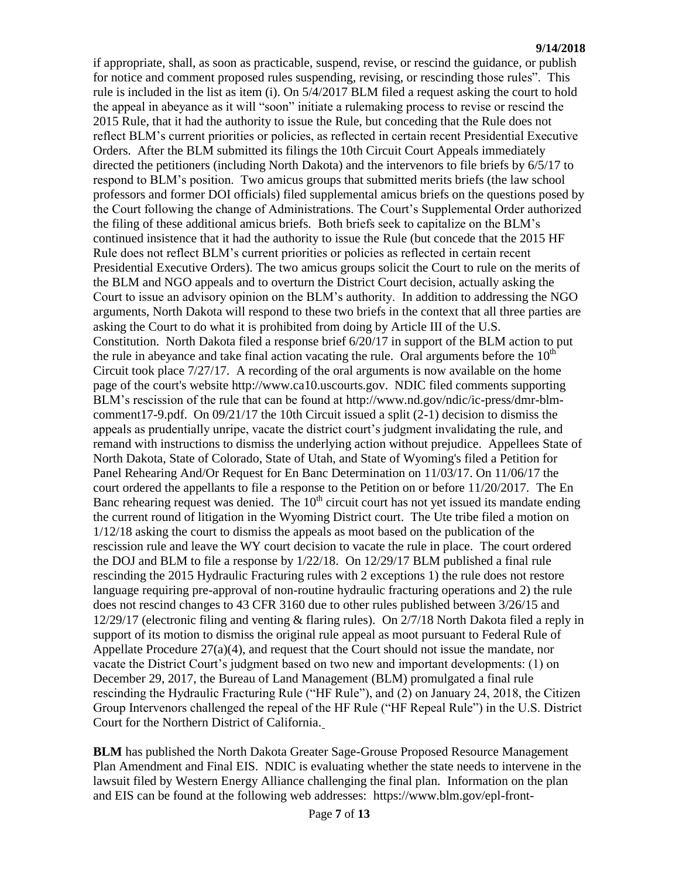if appropriate, shall, as soon as practicable, suspend, revise, or rescind the guidance, or publish for notice and comment proposed rules suspending, revising, or rescinding those rules". This rule is included in the list as item (i). On 5/4/2017 BLM filed a request asking the court to hold the appeal in abeyance as it will "soon" initiate a rulemaking process to revise or rescind the 2015 Rule, that it had the authority to issue the Rule, but conceding that the Rule does not reflect BLM's current priorities or policies, as reflected in certain recent Presidential Executive Orders. After the BLM submitted its filings the 10th Circuit Court Appeals immediately directed the petitioners (including North Dakota) and the intervenors to file briefs by 6/5/17 to respond to BLM's position. Two amicus groups that submitted merits briefs (the law school professors and former DOI officials) filed supplemental amicus briefs on the questions posed by the Court following the change of Administrations. The Court's Supplemental Order authorized the filing of these additional amicus briefs. Both briefs seek to capitalize on the BLM's continued insistence that it had the authority to issue the Rule (but concede that the 2015 HF Rule does not reflect BLM's current priorities or policies as reflected in certain recent Presidential Executive Orders). The two amicus groups solicit the Court to rule on the merits of the BLM and NGO appeals and to overturn the District Court decision, actually asking the Court to issue an advisory opinion on the BLM's authority. In addition to addressing the NGO arguments, North Dakota will respond to these two briefs in the context that all three parties are asking the Court to do what it is prohibited from doing by Article III of the U.S. Constitution. North Dakota filed a response brief 6/20/17 in support of the BLM action to put the rule in abeyance and take final action vacating the rule. Oral arguments before the  $10<sup>th</sup>$ Circuit took place  $7/27/17$ . A recording of the oral arguments is now available on the home page of the court's website [http://www.ca10.uscourts.gov.](https://urldefense.proofpoint.com/v2/url?u=http-3A__www.ca10.uscourts.gov&d=DwMGaQ&c=2s2mvbfY0UoSKkl6_Ol9wg&r=-wqsZnBxny594KY8HeElow&m=Ul_VtJUX6iW5pvHjCcBxUWtskC0F4Dhry3sPtcEHvCw&s=laRHiLDv5w8otcQWQjpn82WMieoB2AZ-Q4M1LFQPL5s&e=) NDIC filed comments supporting BLM's rescission of the rule that can be found at [http://www.nd.gov/ndic/ic-press/dmr-blm](http://www.nd.gov/ndic/ic-press/dmr-blm-comment17-9.pdf)[comment17-9.pdf.](http://www.nd.gov/ndic/ic-press/dmr-blm-comment17-9.pdf) On 09/21/17 the 10th Circuit issued a split (2-1) decision to dismiss the appeals as prudentially unripe, vacate the district court's judgment invalidating the rule, and remand with instructions to dismiss the underlying action without prejudice. Appellees State of North Dakota, State of Colorado, State of Utah, and State of Wyoming's filed a Petition for Panel Rehearing And/Or Request for En Banc Determination on 11/03/17. On 11/06/17 the court ordered the appellants to file a response to the Petition on or before 11/20/2017. The En Banc rehearing request was denied. The  $10<sup>th</sup>$  circuit court has not yet issued its mandate ending the current round of litigation in the Wyoming District court. The Ute tribe filed a motion on 1/12/18 asking the court to dismiss the appeals as moot based on the publication of the rescission rule and leave the WY court decision to vacate the rule in place. The court ordered the DOJ and BLM to file a response by 1/22/18. On 12/29/17 BLM published a final rule rescinding the 2015 Hydraulic Fracturing rules with 2 exceptions 1) the rule does not restore language requiring pre-approval of non-routine hydraulic fracturing operations and 2) the rule does not rescind changes to 43 CFR 3160 due to other rules published between 3/26/15 and 12/29/17 (electronic filing and venting & flaring rules). On 2/7/18 North Dakota filed a reply in support of its motion to dismiss the original rule appeal as moot pursuant to Federal Rule of Appellate Procedure 27(a)(4), and request that the Court should not issue the mandate, nor vacate the District Court's judgment based on two new and important developments: (1) on December 29, 2017, the Bureau of Land Management (BLM) promulgated a final rule rescinding the Hydraulic Fracturing Rule ("HF Rule"), and (2) on January 24, 2018, the Citizen Group Intervenors challenged the repeal of the HF Rule ("HF Repeal Rule") in the U.S. District Court for the Northern District of California.

**BLM** has published the North Dakota Greater Sage-Grouse Proposed Resource Management Plan Amendment and Final EIS. NDIC is evaluating whether the state needs to intervene in the lawsuit filed by Western Energy Alliance challenging the final plan. Information on the plan and EIS can be found at the following web addresses: [https://www.blm.gov/epl-front-](https://www.blm.gov/epl-front-office/eplanning/planAndProjectSite.do?methodName=dispatchToPatternPage¤tPageId=48797)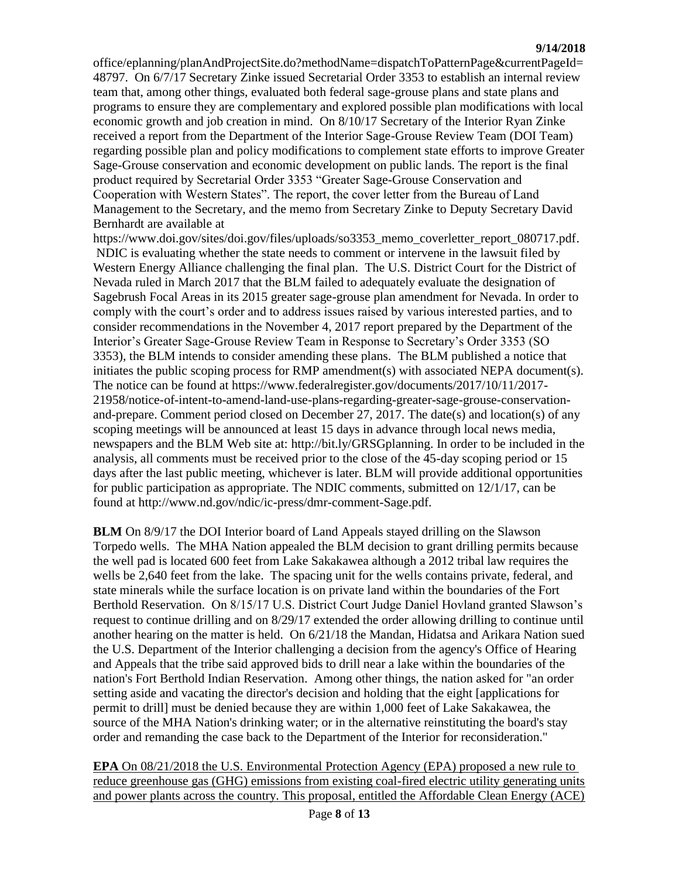[office/eplanning/planAndProjectSite.do?methodName=dispatchToPatternPage&currentPageId=](https://www.blm.gov/epl-front-office/eplanning/planAndProjectSite.do?methodName=dispatchToPatternPage¤tPageId=48797) [48797.](https://www.blm.gov/epl-front-office/eplanning/planAndProjectSite.do?methodName=dispatchToPatternPage¤tPageId=48797) On 6/7/17 Secretary Zinke issued Secretarial Order 3353 to establish an internal review team that, among other things, evaluated both federal sage-grouse plans and state plans and programs to ensure they are complementary and explored possible plan modifications with local economic growth and job creation in mind. On 8/10/17 Secretary of the Interior Ryan Zinke received a report from the Department of the Interior Sage-Grouse Review Team (DOI Team) regarding possible plan and policy modifications to complement state efforts to improve Greater Sage-Grouse conservation and economic development on public lands. The report is the final product required by Secretarial Order 3353 "Greater Sage-Grouse Conservation and Cooperation with Western States". The report, the cover letter from the Bureau of Land Management to the Secretary, and the memo from Secretary Zinke to Deputy Secretary David Bernhardt are available at

https://www.doi.gov/sites/doi.gov/files/uploads/so3353 memo\_coverletter\_report\_080717.pdf. NDIC is evaluating whether the state needs to comment or intervene in the lawsuit filed by Western Energy Alliance challenging the final plan. The U.S. District Court for the District of Nevada ruled in March 2017 that the BLM failed to adequately evaluate the designation of Sagebrush Focal Areas in its 2015 greater sage-grouse plan amendment for Nevada. In order to comply with the court's order and to address issues raised by various interested parties, and to consider recommendations in the November 4, 2017 report prepared by the Department of the Interior's Greater Sage-Grouse Review Team in Response to Secretary's Order 3353 (SO 3353), the BLM intends to consider amending these plans. The BLM published a notice that initiates the public scoping process for RMP amendment(s) with associated NEPA document(s). The notice can be found at [https://www.federalregister.gov/documents/2017/10/11/2017-](https://www.federalregister.gov/documents/2017/10/11/2017-21958/notice-of-intent-to-amend-land-use-plans-regarding-greater-sage-grouse-conservation-and-prepare) [21958/notice-of-intent-to-amend-land-use-plans-regarding-greater-sage-grouse-conservation](https://www.federalregister.gov/documents/2017/10/11/2017-21958/notice-of-intent-to-amend-land-use-plans-regarding-greater-sage-grouse-conservation-and-prepare)[and-prepare.](https://www.federalregister.gov/documents/2017/10/11/2017-21958/notice-of-intent-to-amend-land-use-plans-regarding-greater-sage-grouse-conservation-and-prepare) Comment period closed on December 27, 2017. The date(s) and location(s) of any scoping meetings will be announced at least 15 days in advance through local news media, newspapers and the BLM Web site at: [http://bit.ly/GRSGplanning.](http://bit.ly/​GRSGplanning) In order to be included in the analysis, all comments must be received prior to the close of the 45-day scoping period or 15 days after the last public meeting, whichever is later. BLM will provide additional opportunities for public participation as appropriate. The NDIC comments, submitted on 12/1/17, can be found at [http://www.nd.gov/ndic/ic-press/dmr-comment-Sage.pdf.](http://www.nd.gov/ndic/ic-press/dmr-comment-Sage.pdf)

**BLM** On 8/9/17 the DOI Interior board of Land Appeals stayed drilling on the Slawson Torpedo wells. The MHA Nation appealed the BLM decision to grant drilling permits because the well pad is located 600 feet from Lake Sakakawea although a 2012 tribal law requires the wells be 2,640 feet from the lake. The spacing unit for the wells contains private, federal, and state minerals while the surface location is on private land within the boundaries of the Fort Berthold Reservation. On 8/15/17 U.S. District Court Judge Daniel Hovland granted Slawson's request to continue drilling and on 8/29/17 extended the order allowing drilling to continue until another hearing on the matter is held. On 6/21/18 the Mandan, Hidatsa and Arikara Nation sued the U.S. Department of the Interior challenging a decision from the agency's Office of Hearing and Appeals that the tribe said approved bids to drill near a lake within the boundaries of the nation's Fort Berthold Indian Reservation. Among other things, the nation asked for "an order setting aside and vacating the director's decision and holding that the eight [applications for permit to drill] must be denied because they are within 1,000 feet of Lake Sakakawea, the source of the MHA Nation's drinking water; or in the alternative reinstituting the board's stay order and remanding the case back to the Department of the Interior for reconsideration."

**EPA** On 08/21/2018 the U.S. Environmental Protection Agency (EPA) proposed a new rule to reduce greenhouse gas (GHG) emissions from existing coal-fired electric utility generating units and power plants across the country. This proposal, entitled the Affordable Clean Energy (ACE)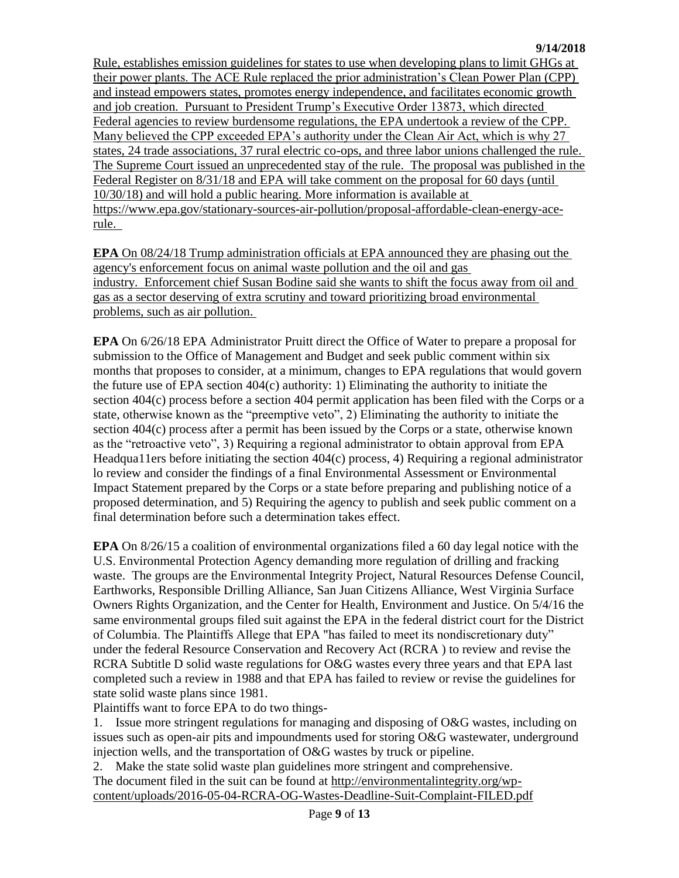Rule, establishes emission guidelines for states to use when developing plans to limit GHGs at their power plants. The ACE Rule replaced the prior administration's Clean Power Plan (CPP) and instead empowers states, promotes energy independence, and facilitates economic growth and job creation. Pursuant to President Trump's Executive Order 13873, which directed Federal agencies to review burdensome regulations, the EPA undertook a review of the CPP. Many believed the CPP exceeded EPA's authority under the Clean Air Act, which is why 27 states, 24 trade associations, 37 rural electric co-ops, and three labor unions challenged the rule. The Supreme Court issued an unprecedented stay of the rule. The proposal was published in the Federal Register on 8/31/18 and EPA will take comment on the proposal for 60 days (until 10/30/18) and will hold a public hearing. More information is available at [https://www.epa.gov/stationary-sources-air-pollution/proposal-affordable-clean-energy-ace](https://www.epa.gov/stationary-sources-air-pollution/proposal-affordable-clean-energy-ace-rule)[rule.](https://www.epa.gov/stationary-sources-air-pollution/proposal-affordable-clean-energy-ace-rule)

**EPA** On 08/24/18 Trump administration officials at EPA announced they are phasing out the agency's enforcement focus on animal waste pollution and the oil and gas industry. Enforcement chief Susan Bodine said she wants to shift the focus away from oil and gas as a sector deserving of extra scrutiny and toward prioritizing broad environmental problems, such as air pollution.

**EPA** On 6/26/18 EPA Administrator Pruitt direct the Office of Water to prepare a proposal for submission to the Office of Management and Budget and seek public comment within six months that proposes to consider, at a minimum, changes to EPA regulations that would govern the future use of EPA section  $404(c)$  authority: 1) Eliminating the authority to initiate the section 404(c) process before a section 404 permit application has been filed with the Corps or a state, otherwise known as the "preemptive veto", 2) Eliminating the authority to initiate the section 404(c) process after a permit has been issued by the Corps or a state, otherwise known as the "retroactive veto", 3) Requiring a regional administrator to obtain approval from EPA Headqua11ers before initiating the section 404(c) process, 4) Requiring a regional administrator lo review and consider the findings of a final Environmental Assessment or Environmental Impact Statement prepared by the Corps or a state before preparing and publishing notice of a proposed determination, and 5) Requiring the agency to publish and seek public comment on a final determination before such a determination takes effect.

**EPA** On 8/26/15 a coalition of environmental organizations filed a 60 day legal notice with the U.S. Environmental Protection Agency demanding more regulation of drilling and fracking waste. The groups are the Environmental Integrity Project, Natural Resources Defense Council, Earthworks, Responsible Drilling Alliance, San Juan Citizens Alliance, West Virginia Surface Owners Rights Organization, and the Center for Health, Environment and Justice. On 5/4/16 the same environmental groups filed suit against the EPA in the federal district court for the District of Columbia. The Plaintiffs Allege that EPA "has failed to meet its nondiscretionary duty" under the federal Resource Conservation and Recovery Act (RCRA ) to review and revise the RCRA Subtitle D solid waste regulations for O&G wastes every three years and that EPA last completed such a review in 1988 and that EPA has failed to review or revise the guidelines for state solid waste plans since 1981.

Plaintiffs want to force EPA to do two things-

1. Issue more stringent regulations for managing and disposing of O&G wastes, including on issues such as open-air pits and impoundments used for storing O&G wastewater, underground injection wells, and the transportation of O&G wastes by truck or pipeline.

2. Make the state solid waste plan guidelines more stringent and comprehensive. The document filed in the suit can be found at [http://environmentalintegrity.org/wp](http://environmentalintegrity.org/wp-content/uploads/2016-05-04-RCRA-OG-Wastes-Deadline-Suit-Complaint-FILED.pdf)[content/uploads/2016-05-04-RCRA-OG-Wastes-Deadline-Suit-Complaint-FILED.pdf](http://environmentalintegrity.org/wp-content/uploads/2016-05-04-RCRA-OG-Wastes-Deadline-Suit-Complaint-FILED.pdf)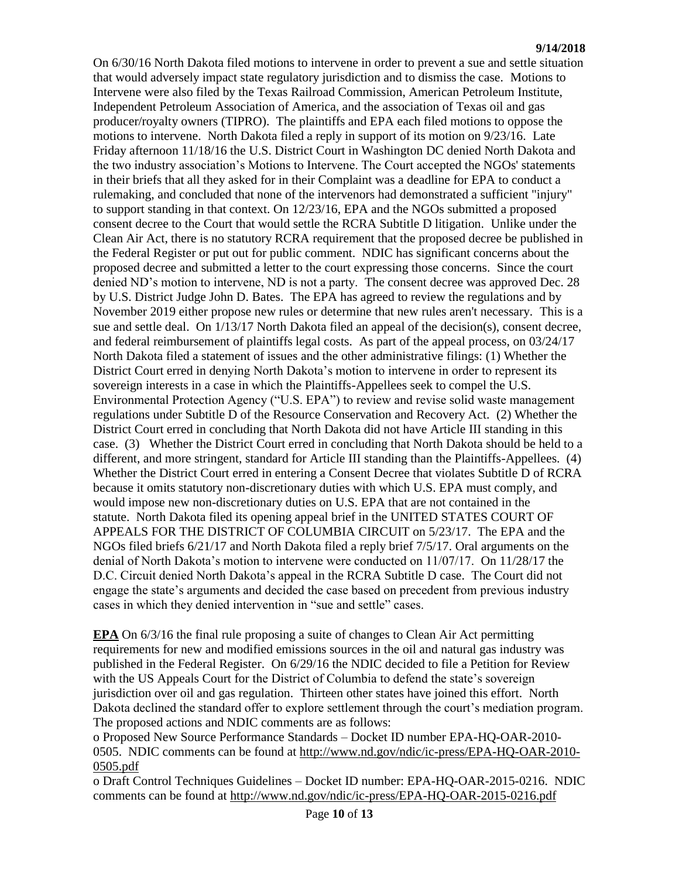On 6/30/16 North Dakota filed motions to intervene in order to prevent a sue and settle situation that would adversely impact state regulatory jurisdiction and to dismiss the case. Motions to Intervene were also filed by the Texas Railroad Commission, American Petroleum Institute, Independent Petroleum Association of America, and the association of Texas oil and gas producer/royalty owners (TIPRO). The plaintiffs and EPA each filed motions to oppose the motions to intervene. North Dakota filed a reply in support of its motion on 9/23/16. Late Friday afternoon 11/18/16 the U.S. District Court in Washington DC denied North Dakota and the two industry association's Motions to Intervene. The Court accepted the NGOs' statements in their briefs that all they asked for in their Complaint was a deadline for EPA to conduct a rulemaking, and concluded that none of the intervenors had demonstrated a sufficient "injury" to support standing in that context. On 12/23/16, EPA and the NGOs submitted a proposed consent decree to the Court that would settle the RCRA Subtitle D litigation. Unlike under the Clean Air Act, there is no statutory RCRA requirement that the proposed decree be published in the Federal Register or put out for public comment. NDIC has significant concerns about the proposed decree and submitted a letter to the court expressing those concerns. Since the court denied ND's motion to intervene, ND is not a party. The consent decree was approved Dec. 28 by U.S. District Judge John D. Bates. The EPA has agreed to review the regulations and by November 2019 either propose new rules or determine that new rules aren't necessary. This is a sue and settle deal. On 1/13/17 North Dakota filed an appeal of the decision(s), consent decree, and federal reimbursement of plaintiffs legal costs. As part of the appeal process, on 03/24/17 North Dakota filed a statement of issues and the other administrative filings: (1) Whether the District Court erred in denying North Dakota's motion to intervene in order to represent its sovereign interests in a case in which the Plaintiffs-Appellees seek to compel the U.S. Environmental Protection Agency ("U.S. EPA") to review and revise solid waste management regulations under Subtitle D of the Resource Conservation and Recovery Act. (2) Whether the District Court erred in concluding that North Dakota did not have Article III standing in this case. (3) Whether the District Court erred in concluding that North Dakota should be held to a different, and more stringent, standard for Article III standing than the Plaintiffs-Appellees. (4) Whether the District Court erred in entering a Consent Decree that violates Subtitle D of RCRA because it omits statutory non-discretionary duties with which U.S. EPA must comply, and would impose new non-discretionary duties on U.S. EPA that are not contained in the statute. North Dakota filed its opening appeal brief in the UNITED STATES COURT OF APPEALS FOR THE DISTRICT OF COLUMBIA CIRCUIT on 5/23/17. The EPA and the NGOs filed briefs 6/21/17 and North Dakota filed a reply brief 7/5/17. Oral arguments on the denial of North Dakota's motion to intervene were conducted on 11/07/17. On 11/28/17 the D.C. Circuit denied North Dakota's appeal in the RCRA Subtitle D case. The Court did not engage the state's arguments and decided the case based on precedent from previous industry cases in which they denied intervention in "sue and settle" cases.

**EPA** On 6/3/16 the final rule proposing a suite of changes to Clean Air Act permitting requirements for new and modified emissions sources in the oil and natural gas industry was published in the Federal Register. On 6/29/16 the NDIC decided to file a Petition for Review with the US Appeals Court for the District of Columbia to defend the state's sovereign jurisdiction over oil and gas regulation. Thirteen other states have joined this effort. North Dakota declined the standard offer to explore settlement through the court's mediation program. The proposed actions and NDIC comments are as follows:

o Proposed New Source Performance Standards – Docket ID number EPA-HQ-OAR-2010- 0505. NDIC comments can be found at [http://www.nd.gov/ndic/ic-press/EPA-HQ-OAR-2010-](http://www.nd.gov/ndic/ic-press/EPA-HQ-OAR-2010-0505.pdf) [0505.pdf](http://www.nd.gov/ndic/ic-press/EPA-HQ-OAR-2010-0505.pdf)

o Draft Control Techniques Guidelines – Docket ID number: EPA-HQ-OAR-2015-0216. NDIC comments can be found at<http://www.nd.gov/ndic/ic-press/EPA-HQ-OAR-2015-0216.pdf>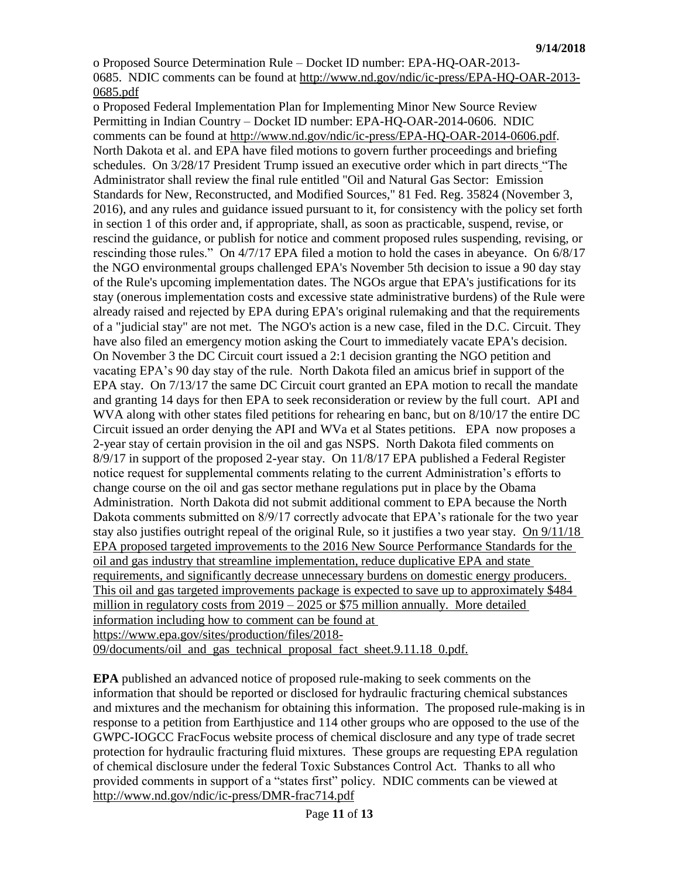o Proposed Source Determination Rule – Docket ID number: EPA-HQ-OAR-2013- 0685. NDIC comments can be found at [http://www.nd.gov/ndic/ic-press/EPA-HQ-OAR-2013-](http://www.nd.gov/ndic/ic-press/EPA-HQ-OAR-2013-0685.pdf) [0685.pdf](http://www.nd.gov/ndic/ic-press/EPA-HQ-OAR-2013-0685.pdf)

o Proposed Federal Implementation Plan for Implementing Minor New Source Review Permitting in Indian Country – Docket ID number: EPA-HQ-OAR-2014-0606. NDIC comments can be found at [http://www.nd.gov/ndic/ic-press/EPA-HQ-OAR-2014-0606.pdf.](http://www.nd.gov/ndic/ic-press/EPA-HQ-OAR-2014-0606.pdf) North Dakota et al. and EPA have filed motions to govern further proceedings and briefing schedules. On 3/28/17 President Trump issued an executive order which in part directs "The Administrator shall review the final rule entitled "Oil and Natural Gas Sector: Emission Standards for New, Reconstructed, and Modified Sources," 81 Fed. Reg. 35824 (November 3, 2016), and any rules and guidance issued pursuant to it, for consistency with the policy set forth in section 1 of this order and, if appropriate, shall, as soon as practicable, suspend, revise, or rescind the guidance, or publish for notice and comment proposed rules suspending, revising, or rescinding those rules." On 4/7/17 EPA filed a motion to hold the cases in abeyance. On 6/8/17 the NGO environmental groups challenged EPA's November 5th decision to issue a 90 day stay of the Rule's upcoming implementation dates. The NGOs argue that EPA's justifications for its stay (onerous implementation costs and excessive state administrative burdens) of the Rule were already raised and rejected by EPA during EPA's original rulemaking and that the requirements of a "judicial stay" are not met. The NGO's action is a new case, filed in the D.C. Circuit. They have also filed an emergency motion asking the Court to immediately vacate EPA's decision. On November 3 the DC Circuit court issued a 2:1 decision granting the NGO petition and vacating EPA's 90 day stay of the rule. North Dakota filed an amicus brief in support of the EPA stay. On 7/13/17 the same DC Circuit court granted an EPA motion to recall the mandate and granting 14 days for then EPA to seek reconsideration or review by the full court. API and WVA along with other states filed petitions for rehearing en banc, but on 8/10/17 the entire DC Circuit issued an order denying the API and WVa et al States petitions. EPA now proposes a 2-year stay of certain provision in the oil and gas NSPS. North Dakota filed comments on 8/9/17 in support of the proposed 2-year stay. On 11/8/17 EPA published a Federal Register notice request for supplemental comments relating to the current Administration's efforts to change course on the oil and gas sector methane regulations put in place by the Obama Administration. North Dakota did not submit additional comment to EPA because the North Dakota comments submitted on 8/9/17 correctly advocate that EPA's rationale for the two year stay also justifies outright repeal of the original Rule, so it justifies a two year stay. On 9/11/18 EPA proposed targeted improvements to the 2016 New Source Performance Standards for the oil and gas industry that streamline implementation, reduce duplicative EPA and state requirements, and significantly decrease unnecessary burdens on domestic energy producers. This oil and gas targeted improvements package is expected to save up to approximately \$484 million in regulatory costs from 2019 – 2025 or \$75 million annually. More detailed information including how to comment can be found at [https://www.epa.gov/sites/production/files/2018-](https://www.epa.gov/sites/production/files/2018-09/documents/oil_and_gas_technical_proposal_fact_sheet.9.11.18_0.pdf) [09/documents/oil\\_and\\_gas\\_technical\\_proposal\\_fact\\_sheet.9.11.18\\_0.pdf.](https://www.epa.gov/sites/production/files/2018-09/documents/oil_and_gas_technical_proposal_fact_sheet.9.11.18_0.pdf)

**EPA** published an advanced notice of proposed rule-making to seek comments on the information that should be reported or disclosed for hydraulic fracturing chemical substances and mixtures and the mechanism for obtaining this information. The proposed rule-making is in response to a petition from Earthjustice and 114 other groups who are opposed to the use of the GWPC-IOGCC FracFocus website process of chemical disclosure and any type of trade secret protection for hydraulic fracturing fluid mixtures. These groups are requesting EPA regulation of chemical disclosure under the federal Toxic Substances Control Act. Thanks to all who provided comments in support of a "states first" policy. NDIC comments can be viewed at <http://www.nd.gov/ndic/ic-press/DMR-frac714.pdf>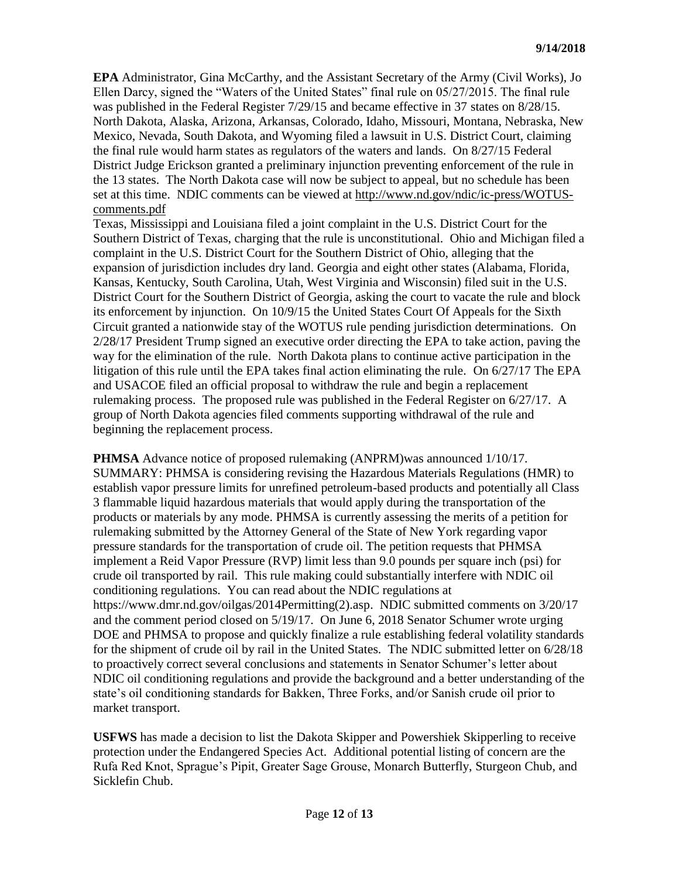**EPA** Administrator, Gina McCarthy, and the Assistant Secretary of the Army (Civil Works), Jo Ellen Darcy, signed the "Waters of the United States" final rule on 05/27/2015. The final rule was published in the Federal Register 7/29/15 and became effective in 37 states on 8/28/15. North Dakota, Alaska, Arizona, Arkansas, Colorado, Idaho, Missouri, Montana, Nebraska, New Mexico, Nevada, South Dakota, and Wyoming filed a lawsuit in U.S. District Court, claiming the final rule would harm states as regulators of the waters and lands. On 8/27/15 Federal District Judge Erickson granted a preliminary injunction preventing enforcement of the rule in the 13 states. The North Dakota case will now be subject to appeal, but no schedule has been set at this time. NDIC comments can be viewed at [http://www.nd.gov/ndic/ic-press/WOTUS](http://www.nd.gov/ndic/ic-press/WOTUS-comments.pdf)[comments.pdf](http://www.nd.gov/ndic/ic-press/WOTUS-comments.pdf)

Texas, Mississippi and Louisiana filed a joint complaint in the U.S. District Court for the Southern District of Texas, charging that the rule is unconstitutional. Ohio and Michigan filed a complaint in the U.S. District Court for the Southern District of Ohio, alleging that the expansion of jurisdiction includes dry land. Georgia and eight other states (Alabama, Florida, Kansas, Kentucky, South Carolina, Utah, West Virginia and Wisconsin) filed suit in the U.S. District Court for the Southern District of Georgia, asking the court to vacate the rule and block its enforcement by injunction. On 10/9/15 the United States Court Of Appeals for the Sixth Circuit granted a nationwide stay of the WOTUS rule pending jurisdiction determinations. On 2/28/17 President Trump signed an executive order directing the EPA to take action, paving the way for the elimination of the rule. North Dakota plans to continue active participation in the litigation of this rule until the EPA takes final action eliminating the rule. On 6/27/17 The EPA and USACOE filed an official proposal to withdraw the rule and begin a replacement rulemaking process. The proposed rule was published in the Federal Register on 6/27/17. A group of North Dakota agencies filed comments supporting withdrawal of the rule and beginning the replacement process.

**PHMSA** Advance notice of proposed rulemaking (ANPRM)was announced 1/10/17. SUMMARY: PHMSA is considering revising the Hazardous Materials Regulations (HMR) to establish vapor pressure limits for unrefined petroleum-based products and potentially all Class 3 flammable liquid hazardous materials that would apply during the transportation of the products or materials by any mode. PHMSA is currently assessing the merits of a petition for rulemaking submitted by the Attorney General of the State of New York regarding vapor pressure standards for the transportation of crude oil. The petition requests that PHMSA implement a Reid Vapor Pressure (RVP) limit less than 9.0 pounds per square inch (psi) for crude oil transported by rail. This rule making could substantially interfere with NDIC oil conditioning regulations. You can read about the NDIC regulations at [https://www.dmr.nd.gov/oilgas/2014Permitting\(2\).asp.](https://www.dmr.nd.gov/oilgas/2014Permitting(2).asp) NDIC submitted comments on 3/20/17 and the comment period closed on 5/19/17. On June 6, 2018 Senator Schumer wrote urging DOE and PHMSA to propose and quickly finalize a rule establishing federal volatility standards for the shipment of crude oil by rail in the United States. The NDIC submitted letter on 6/28/18 to proactively correct several conclusions and statements in Senator Schumer's letter about NDIC oil conditioning regulations and provide the background and a better understanding of the state's oil conditioning standards for Bakken, Three Forks, and/or Sanish crude oil prior to market transport.

**USFWS** has made a decision to list the Dakota Skipper and Powershiek Skipperling to receive protection under the Endangered Species Act. Additional potential listing of concern are the Rufa Red Knot, Sprague's Pipit, Greater Sage Grouse, Monarch Butterfly, Sturgeon Chub, and Sicklefin Chub.